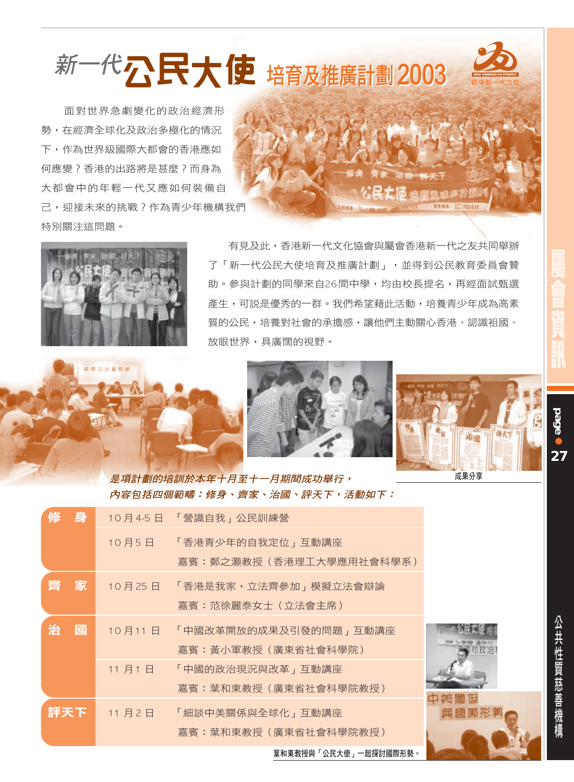新一代公民大使培育及推廣計劃 2003

面對世界急劇變化的政治經濟形 勢,在經濟全球化及政治多極化的情況 下,作為世界級國際大都會的香港應如 何應變?香港的出路將是甚麼?而身為 大都會中的年輕一代又應如何裝備自 己, 迎接未來的挑戰?作為青少年機構我們 特別關注狺問題。





.......

有見及此,香港新一代文化協會與屬會香港新一代之友共同舉辦 了「新一代公民大使培育及推廣計劃」,並得到公民教育委員會贊 助。參與計劃的同學來自26間中學,均由校長提名,再經面試甄選 產生,可説是優秀的一群。我們希望藉此活動,培養青少年成為高素 質的公民,培養對社會的承擔感,讓他們主動關心香港、認識祖國、 放眼世界,具庸闊的視野。





是項計劃的培訓於本年十月至十一月期間成功舉行, **内容包括四個範疇:修身、齊家、治國、評天下,活動如下:** 

| 修 | 身   |        | 10月4-5日 「營識自我」公民訓練營          |              |
|---|-----|--------|------------------------------|--------------|
|   |     |        | 10月5日 「香港青少年的自我定位」互動講座       |              |
|   |     |        | 嘉賓:鄭之灝教授 (香港理工大學應用社會科學系)     |              |
| 齊 | 家   |        | 10月25日 「香港是我家,立法齊參加」模擬立法會辯論  |              |
|   |     |        | 嘉賓:范徐麗泰女士 (立法會主席)            |              |
| 治 | 國   |        | 10月11日 「中國改革開放的成果及引發的問題」互動講座 |              |
|   |     |        | 嘉賓:黃小軍教授 (廣東省社會科學院)          |              |
|   |     | 11 月1日 | 「中國的政治現況與改革」互動講座             |              |
|   |     |        | 嘉賓:葉和東教授 (廣東省社會科學院教授)        |              |
|   | 評天下 |        | 11月2日 「細談中美關係與全球化」互動講座       | 中美鵬促<br>與國際形 |
|   |     |        | 嘉賓:葉和東教授 (廣東省社會科學院教授)        |              |
|   |     |        |                              |              |

**Page** 

27

葉和東教授與「公民大使」一起探討國際形勢。